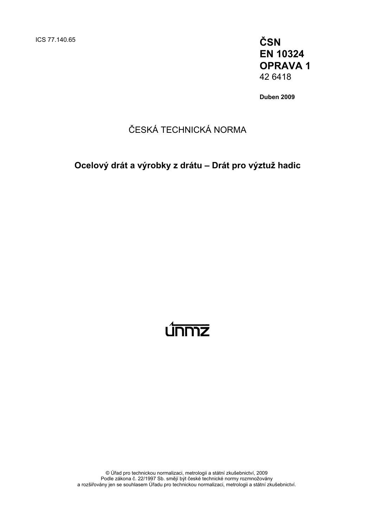**EN 10324 OPRAVA 1**  42 6418

**Duben 2009** 

## ČESKÁ TECHNICKÁ NORMA

### **Ocelový drát a výrobky z drátu – Drát pro výztuž hadic**

# <u>únmz</u>

© Úřad pro technickou normalizaci, metrologii a státní zkušebnictví, 2009 Podle zákona č. 22/1997 Sb. smějí být české technické normy rozmnožovány a rozšiřovány jen se souhlasem Úřadu pro technickou normalizaci, metrologii a státní zkušebnictví.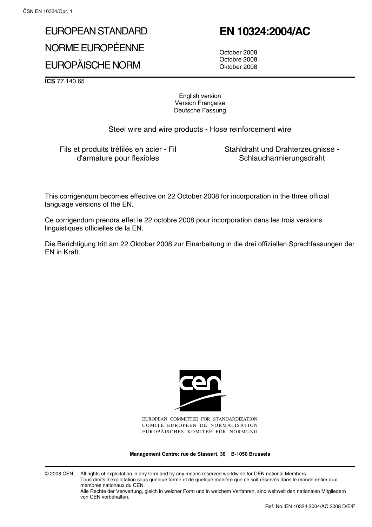# EUROPEAN STANDARD NORME EUROPÉENNE

EUROPÄISCHE NORM

# **EN 10324:2004/AC**

October 2008 Octobre 2008 Oktober 2008

**ICS** 77.140.65

English version Version Française Deutsche Fassung

Steel wire and wire products - Hose reinforcement wire

Fils et produits tréfilés en acier - Fil d'armature pour flexibles

Stahldraht und Drahterzeugnisse - Schlaucharmierungsdraht

This corrigendum becomes effective on 22 October 2008 for incorporation in the three official language versions of the EN.

Ce corrigendum prendra effet le 22 octobre 2008 pour incorporation dans les trois versions linguistiques officielles de la EN.

Die Berichtigung tritt am 22.Oktober 2008 zur Einarbeitung in die drei offiziellen Sprachfassungen der EN in Kraft.



EUROPEAN COMMITTEE FOR STANDARDIZATION COMITÉ EUROPÉEN DE NORMALISATION EUROPÄISCHES KOMITEE FÜR NORMUNG

**Management Centre: rue de Stassart, 36 B-1050 Brussels**

© 2008 CEN All rights of exploitation in any form and by any means reserved worldwide for CEN national Members. Tous droits d'exploitation sous quelque forme et de quelque manière que ce soit réservés dans le monde entier aux membres nationaux du CEN.

Alle Rechte der Verwertung, gleich in welcher Form und in welchem Verfahren, sind weltweit den nationalen Mitgliedern von CEN vorbehalten.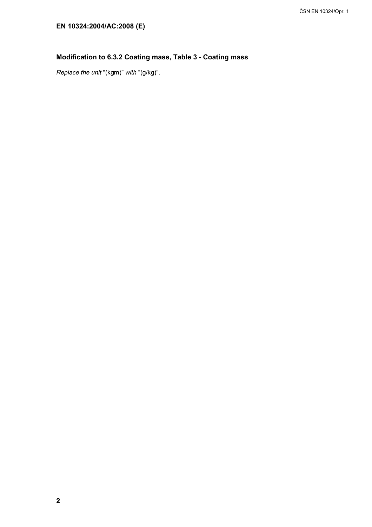### **Modification to 6.3.2 Coating mass, Table 3 - Coating mass**

*Replace the unit* "(kgm)" *with* "(g/kg)".